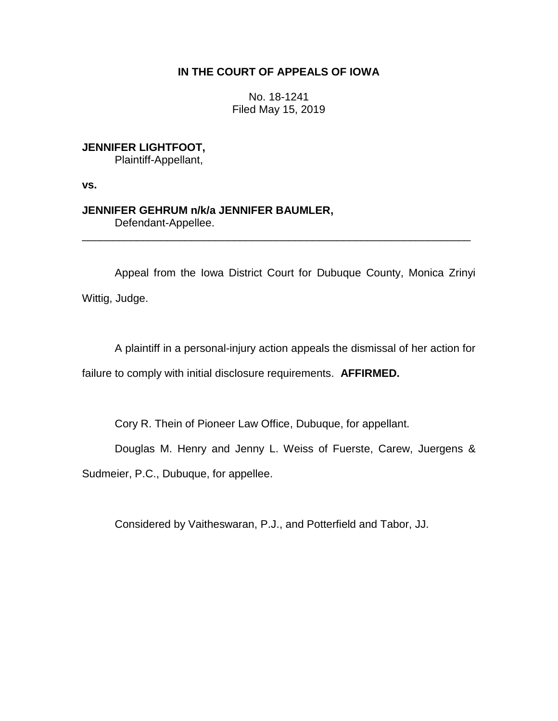# **IN THE COURT OF APPEALS OF IOWA**

No. 18-1241 Filed May 15, 2019

**JENNIFER LIGHTFOOT,**

Plaintiff-Appellant,

**vs.**

**JENNIFER GEHRUM n/k/a JENNIFER BAUMLER,** Defendant-Appellee.

Appeal from the Iowa District Court for Dubuque County, Monica Zrinyi Wittig, Judge.

\_\_\_\_\_\_\_\_\_\_\_\_\_\_\_\_\_\_\_\_\_\_\_\_\_\_\_\_\_\_\_\_\_\_\_\_\_\_\_\_\_\_\_\_\_\_\_\_\_\_\_\_\_\_\_\_\_\_\_\_\_\_\_\_

A plaintiff in a personal-injury action appeals the dismissal of her action for failure to comply with initial disclosure requirements. **AFFIRMED.**

Cory R. Thein of Pioneer Law Office, Dubuque, for appellant.

Douglas M. Henry and Jenny L. Weiss of Fuerste, Carew, Juergens &

Sudmeier, P.C., Dubuque, for appellee.

Considered by Vaitheswaran, P.J., and Potterfield and Tabor, JJ.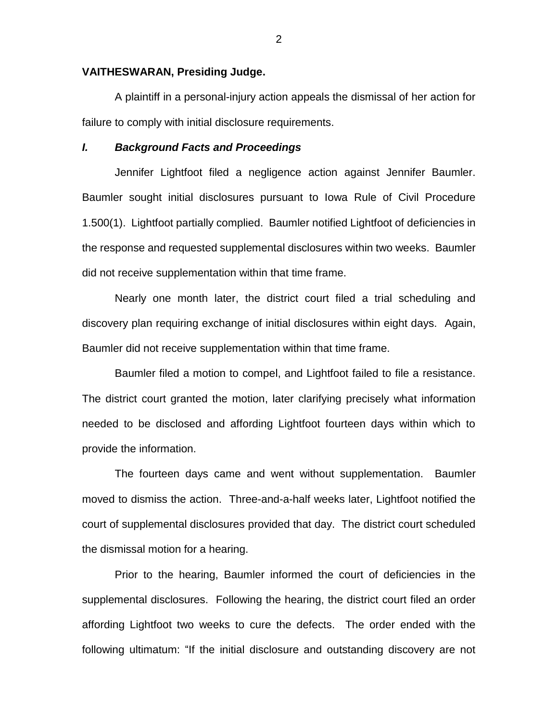### **VAITHESWARAN, Presiding Judge.**

A plaintiff in a personal-injury action appeals the dismissal of her action for failure to comply with initial disclosure requirements.

#### *I. Background Facts and Proceedings*

Jennifer Lightfoot filed a negligence action against Jennifer Baumler. Baumler sought initial disclosures pursuant to Iowa Rule of Civil Procedure 1.500(1). Lightfoot partially complied. Baumler notified Lightfoot of deficiencies in the response and requested supplemental disclosures within two weeks. Baumler did not receive supplementation within that time frame.

Nearly one month later, the district court filed a trial scheduling and discovery plan requiring exchange of initial disclosures within eight days. Again, Baumler did not receive supplementation within that time frame.

Baumler filed a motion to compel, and Lightfoot failed to file a resistance. The district court granted the motion, later clarifying precisely what information needed to be disclosed and affording Lightfoot fourteen days within which to provide the information.

The fourteen days came and went without supplementation. Baumler moved to dismiss the action. Three-and-a-half weeks later, Lightfoot notified the court of supplemental disclosures provided that day. The district court scheduled the dismissal motion for a hearing.

Prior to the hearing, Baumler informed the court of deficiencies in the supplemental disclosures. Following the hearing, the district court filed an order affording Lightfoot two weeks to cure the defects. The order ended with the following ultimatum: "If the initial disclosure and outstanding discovery are not

2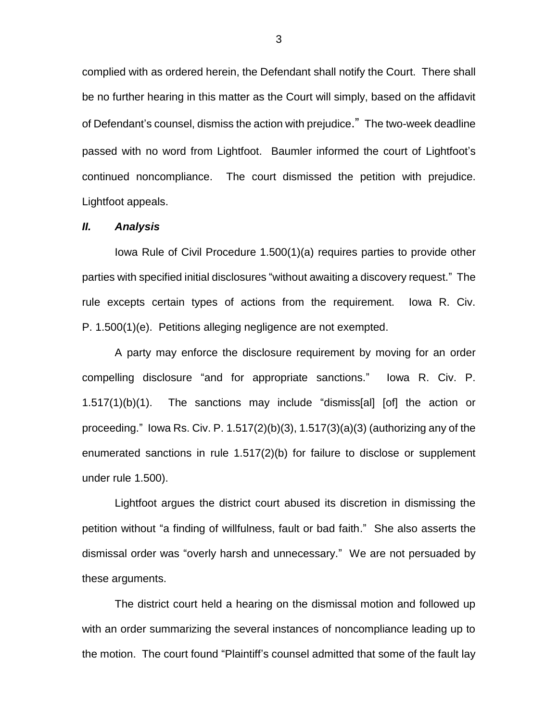complied with as ordered herein, the Defendant shall notify the Court. There shall be no further hearing in this matter as the Court will simply, based on the affidavit of Defendant's counsel, dismiss the action with prejudice." The two-week deadline passed with no word from Lightfoot. Baumler informed the court of Lightfoot's continued noncompliance. The court dismissed the petition with prejudice. Lightfoot appeals.

## *II. Analysis*

Iowa Rule of Civil Procedure 1.500(1)(a) requires parties to provide other parties with specified initial disclosures "without awaiting a discovery request." The rule excepts certain types of actions from the requirement. Iowa R. Civ. P. 1.500(1)(e). Petitions alleging negligence are not exempted.

A party may enforce the disclosure requirement by moving for an order compelling disclosure "and for appropriate sanctions." Iowa R. Civ. P. 1.517(1)(b)(1). The sanctions may include "dismiss[al] [of] the action or proceeding." lowa Rs. Civ. P. 1.517(2)(b)(3), 1.517(3)(a)(3) (authorizing any of the enumerated sanctions in rule 1.517(2)(b) for failure to disclose or supplement under rule 1.500).

Lightfoot argues the district court abused its discretion in dismissing the petition without "a finding of willfulness, fault or bad faith." She also asserts the dismissal order was "overly harsh and unnecessary." We are not persuaded by these arguments.

The district court held a hearing on the dismissal motion and followed up with an order summarizing the several instances of noncompliance leading up to the motion. The court found "Plaintiff's counsel admitted that some of the fault lay